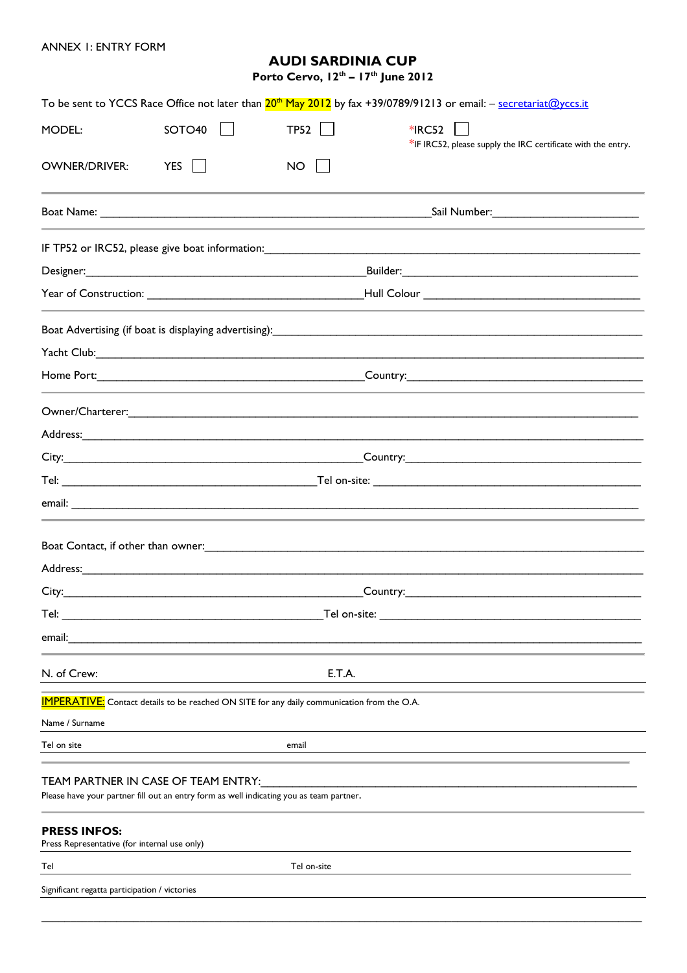ANNEX 1: ENTRY FORM

## **AUDI SARDINIA CUP**

**Porto Cervo, 12th – 17th June 2012**

|                                                                     |                                                                                                                                |                                                                                                    | To be sent to YCCS Race Office not later than 20 <sup>th</sup> May 2012 by fax +39/0789/91213 or email: – secretariat@yccs.it                                          |  |  |  |  |  |  |
|---------------------------------------------------------------------|--------------------------------------------------------------------------------------------------------------------------------|----------------------------------------------------------------------------------------------------|------------------------------------------------------------------------------------------------------------------------------------------------------------------------|--|--|--|--|--|--|
| MODEL:                                                              | SOTO40                                                                                                                         | TP52                                                                                               | $*$ IRC52<br>*IF IRC52, please supply the IRC certificate with the entry.                                                                                              |  |  |  |  |  |  |
| <b>OWNER/DRIVER:</b>                                                | <b>YES</b>                                                                                                                     | <b>NO</b>                                                                                          |                                                                                                                                                                        |  |  |  |  |  |  |
|                                                                     |                                                                                                                                |                                                                                                    |                                                                                                                                                                        |  |  |  |  |  |  |
|                                                                     |                                                                                                                                |                                                                                                    |                                                                                                                                                                        |  |  |  |  |  |  |
|                                                                     |                                                                                                                                |                                                                                                    |                                                                                                                                                                        |  |  |  |  |  |  |
|                                                                     |                                                                                                                                |                                                                                                    |                                                                                                                                                                        |  |  |  |  |  |  |
|                                                                     |                                                                                                                                |                                                                                                    | Boat Advertising (if boat is displaying advertising):<br>and the manufacture and the manufacture and the manufacture and the manufacture and the manufacture and the m |  |  |  |  |  |  |
|                                                                     |                                                                                                                                |                                                                                                    |                                                                                                                                                                        |  |  |  |  |  |  |
|                                                                     |                                                                                                                                |                                                                                                    |                                                                                                                                                                        |  |  |  |  |  |  |
|                                                                     |                                                                                                                                |                                                                                                    |                                                                                                                                                                        |  |  |  |  |  |  |
|                                                                     |                                                                                                                                |                                                                                                    |                                                                                                                                                                        |  |  |  |  |  |  |
|                                                                     |                                                                                                                                |                                                                                                    |                                                                                                                                                                        |  |  |  |  |  |  |
|                                                                     |                                                                                                                                |                                                                                                    |                                                                                                                                                                        |  |  |  |  |  |  |
|                                                                     |                                                                                                                                |                                                                                                    |                                                                                                                                                                        |  |  |  |  |  |  |
|                                                                     |                                                                                                                                |                                                                                                    |                                                                                                                                                                        |  |  |  |  |  |  |
|                                                                     |                                                                                                                                |                                                                                                    |                                                                                                                                                                        |  |  |  |  |  |  |
|                                                                     |                                                                                                                                |                                                                                                    |                                                                                                                                                                        |  |  |  |  |  |  |
| Tel:                                                                | Tel on-site:                                                                                                                   |                                                                                                    |                                                                                                                                                                        |  |  |  |  |  |  |
| email:                                                              |                                                                                                                                |                                                                                                    |                                                                                                                                                                        |  |  |  |  |  |  |
| N. of Crew:                                                         |                                                                                                                                | E.T.A.                                                                                             |                                                                                                                                                                        |  |  |  |  |  |  |
|                                                                     |                                                                                                                                | <b>IMPERATIVE:</b> Contact details to be reached ON SITE for any daily communication from the O.A. |                                                                                                                                                                        |  |  |  |  |  |  |
| Name / Surname                                                      |                                                                                                                                |                                                                                                    |                                                                                                                                                                        |  |  |  |  |  |  |
| Tel on site                                                         |                                                                                                                                | email                                                                                              |                                                                                                                                                                        |  |  |  |  |  |  |
|                                                                     | TEAM PARTNER IN CASE OF TEAM ENTRY:<br>Please have your partner fill out an entry form as well indicating you as team partner. |                                                                                                    |                                                                                                                                                                        |  |  |  |  |  |  |
| <b>PRESS INFOS:</b><br>Press Representative (for internal use only) |                                                                                                                                |                                                                                                    |                                                                                                                                                                        |  |  |  |  |  |  |
| Tel                                                                 |                                                                                                                                | Tel on-site                                                                                        |                                                                                                                                                                        |  |  |  |  |  |  |
| Significant regatta participation / victories                       |                                                                                                                                |                                                                                                    |                                                                                                                                                                        |  |  |  |  |  |  |
|                                                                     |                                                                                                                                |                                                                                                    |                                                                                                                                                                        |  |  |  |  |  |  |